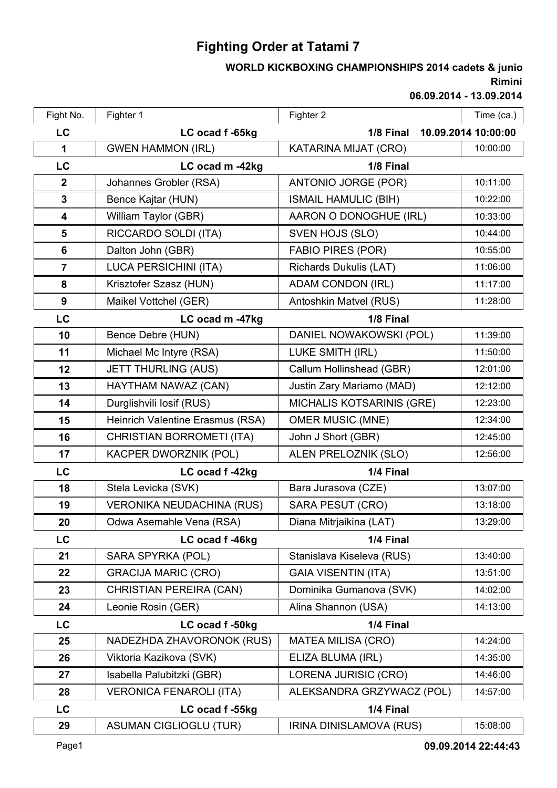## **Fighting Order at Tatami 7**

## **Rimini WORLD KICKBOXING CHAMPIONSHIPS 2014 cadets & junio**

**06.09.2014 - 13.09.2014**

| Fight No.               | Fighter 1                        | Fighter 2                        | Time (ca.)          |
|-------------------------|----------------------------------|----------------------------------|---------------------|
| LC                      | LC ocad f -65kg                  | 1/8 Final                        | 10.09.2014 10:00:00 |
| 1                       | <b>GWEN HAMMON (IRL)</b>         | KATARINA MIJAT (CRO)             | 10:00:00            |
| LC                      | LC ocad m -42kg                  | 1/8 Final                        |                     |
| $\overline{2}$          | Johannes Grobler (RSA)           | ANTONIO JORGE (POR)              | 10:11:00            |
| $\mathbf{3}$            | Bence Kajtar (HUN)               | <b>ISMAIL HAMULIC (BIH)</b>      | 10:22:00            |
| $\overline{\mathbf{4}}$ | William Taylor (GBR)             | AARON O DONOGHUE (IRL)           | 10:33:00            |
| $5\phantom{1}$          | RICCARDO SOLDI (ITA)             | SVEN HOJS (SLO)                  | 10:44:00            |
| 6                       | Dalton John (GBR)                | <b>FABIO PIRES (POR)</b>         | 10:55:00            |
| $\overline{7}$          | <b>LUCA PERSICHINI (ITA)</b>     | Richards Dukulis (LAT)           | 11:06:00            |
| 8                       | Krisztofer Szasz (HUN)           | <b>ADAM CONDON (IRL)</b>         | 11:17:00            |
| 9                       | Maikel Vottchel (GER)            | Antoshkin Matvel (RUS)           | 11:28:00            |
| LC                      | LC ocad m -47kg                  | 1/8 Final                        |                     |
| 10                      | Bence Debre (HUN)                | DANIEL NOWAKOWSKI (POL)          | 11:39:00            |
| 11                      | Michael Mc Intyre (RSA)          | LUKE SMITH (IRL)                 | 11:50:00            |
| 12                      | <b>JETT THURLING (AUS)</b>       | Callum Hollinshead (GBR)         | 12:01:00            |
| 13                      | HAYTHAM NAWAZ (CAN)              | Justin Zary Mariamo (MAD)        | 12:12:00            |
| 14                      | Durglishvili losif (RUS)         | <b>MICHALIS KOTSARINIS (GRE)</b> | 12:23:00            |
| 15                      | Heinrich Valentine Erasmus (RSA) | <b>OMER MUSIC (MNE)</b>          | 12:34:00            |
| 16                      | CHRISTIAN BORROMETI (ITA)        | John J Short (GBR)               | 12:45:00            |
| 17                      | KACPER DWORZNIK (POL)            | ALEN PRELOZNIK (SLO)             | 12:56:00            |
| LC                      | LC ocad f-42kg                   | 1/4 Final                        |                     |
| 18                      | Stela Levicka (SVK)              | Bara Jurasova (CZE)              | 13:07:00            |
| 19                      | <b>VERONIKA NEUDACHINA (RUS)</b> | SARA PESUT (CRO)                 | 13:18:00            |
| 20                      | Odwa Asemahle Vena (RSA)         | Diana Mitrjaikina (LAT)          | 13:29:00            |
| LC                      | LC ocad f-46kg                   | 1/4 Final                        |                     |
| 21                      | SARA SPYRKA (POL)                | Stanislava Kiseleva (RUS)        | 13:40:00            |
| 22                      | <b>GRACIJA MARIC (CRO)</b>       | <b>GAIA VISENTIN (ITA)</b>       | 13:51:00            |
| 23                      | CHRISTIAN PEREIRA (CAN)          | Dominika Gumanova (SVK)          | 14:02:00            |
| 24                      | Leonie Rosin (GER)               | Alina Shannon (USA)              | 14:13:00            |
| LC                      | LC ocad f -50kg                  | 1/4 Final                        |                     |
| 25                      | NADEZHDA ZHAVORONOK (RUS)        | <b>MATEA MILISA (CRO)</b>        | 14:24:00            |
| 26                      | Viktoria Kazikova (SVK)          | ELIZA BLUMA (IRL)                | 14:35:00            |
| 27                      | Isabella Palubitzki (GBR)        | LORENA JURISIC (CRO)             | 14:46:00            |
| 28                      | <b>VERONICA FENAROLI (ITA)</b>   | ALEKSANDRA GRZYWACZ (POL)        | 14:57:00            |
| LC                      | LC ocad f -55kg                  | 1/4 Final                        |                     |
| 29                      | <b>ASUMAN CIGLIOGLU (TUR)</b>    | IRINA DINISLAMOVA (RUS)          | 15:08:00            |